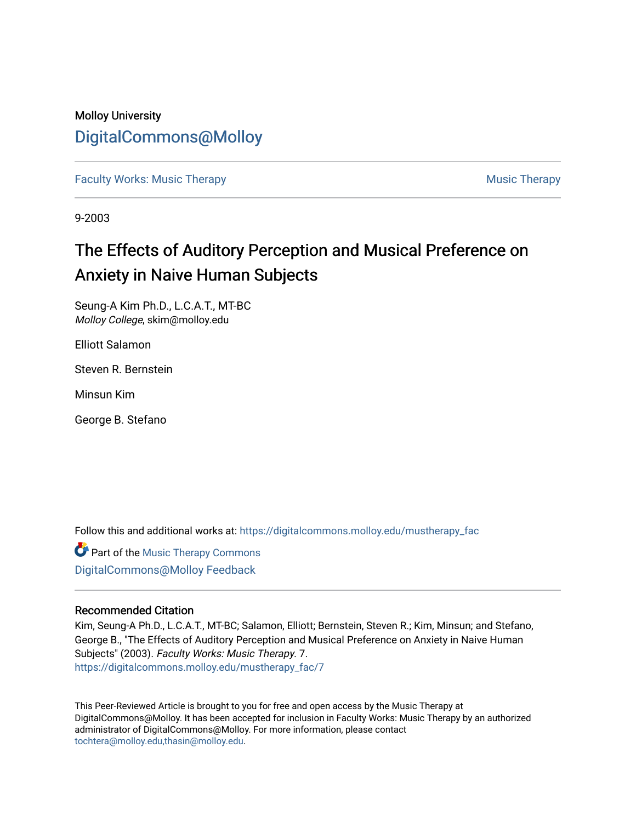# Molloy University [DigitalCommons@Molloy](https://digitalcommons.molloy.edu/)

[Faculty Works: Music Therapy](https://digitalcommons.molloy.edu/mustherapy_fac) [Music Therapy](https://digitalcommons.molloy.edu/mustherapy) Australian Security Music Therapy Music Therapy

9-2003

# The Effects of Auditory Perception and Musical Preference on Anxiety in Naive Human Subjects

Seung-A Kim Ph.D., L.C.A.T., MT-BC Molloy College, skim@molloy.edu

Elliott Salamon

Steven R. Bernstein

Minsun Kim

George B. Stefano

Follow this and additional works at: [https://digitalcommons.molloy.edu/mustherapy\\_fac](https://digitalcommons.molloy.edu/mustherapy_fac?utm_source=digitalcommons.molloy.edu%2Fmustherapy_fac%2F7&utm_medium=PDF&utm_campaign=PDFCoverPages)

**Part of the [Music Therapy Commons](https://network.bepress.com/hgg/discipline/1248?utm_source=digitalcommons.molloy.edu%2Fmustherapy_fac%2F7&utm_medium=PDF&utm_campaign=PDFCoverPages)** [DigitalCommons@Molloy Feedback](https://molloy.libwizard.com/f/dcfeedback)

# Recommended Citation

Kim, Seung-A Ph.D., L.C.A.T., MT-BC; Salamon, Elliott; Bernstein, Steven R.; Kim, Minsun; and Stefano, George B., "The Effects of Auditory Perception and Musical Preference on Anxiety in Naive Human Subjects" (2003). Faculty Works: Music Therapy. 7. [https://digitalcommons.molloy.edu/mustherapy\\_fac/7](https://digitalcommons.molloy.edu/mustherapy_fac/7?utm_source=digitalcommons.molloy.edu%2Fmustherapy_fac%2F7&utm_medium=PDF&utm_campaign=PDFCoverPages)

This Peer-Reviewed Article is brought to you for free and open access by the Music Therapy at DigitalCommons@Molloy. It has been accepted for inclusion in Faculty Works: Music Therapy by an authorized administrator of DigitalCommons@Molloy. For more information, please contact [tochtera@molloy.edu,thasin@molloy.edu](mailto:tochtera@molloy.edu,thasin@molloy.edu).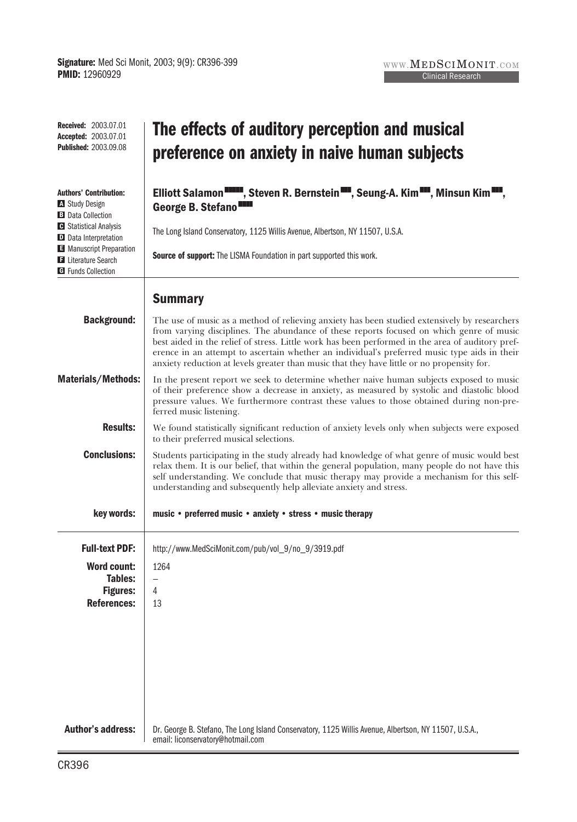| <b>Received: 2003.07.01</b><br><b>Accepted: 2003.07.01</b><br><b>Published: 2003.09.08</b> | The effects of auditory perception and musical<br>preference on anxiety in naive human subjects                                                                                                                                                                                                                                                                                                                                                                                             |
|--------------------------------------------------------------------------------------------|---------------------------------------------------------------------------------------------------------------------------------------------------------------------------------------------------------------------------------------------------------------------------------------------------------------------------------------------------------------------------------------------------------------------------------------------------------------------------------------------|
| <b>Authors' Contribution:</b><br><b>A</b> Study Design<br><b>B</b> Data Collection         | Elliott Salamon <b>WARDER</b> , Steven R. Bernstein <b>WARDER, Seung-A. Kim WARD, Minsun Kim WAR</b> ,<br>George B. Stefano <sup>III</sup>                                                                                                                                                                                                                                                                                                                                                  |
| <b>G</b> Statistical Analysis<br>D Data Interpretation                                     | The Long Island Conservatory, 1125 Willis Avenue, Albertson, NY 11507, U.S.A.                                                                                                                                                                                                                                                                                                                                                                                                               |
| Manuscript Preparation<br><b>El</b> Literature Search<br><b>G</b> Funds Collection         | Source of support: The LISMA Foundation in part supported this work.                                                                                                                                                                                                                                                                                                                                                                                                                        |
|                                                                                            | <b>Summary</b>                                                                                                                                                                                                                                                                                                                                                                                                                                                                              |
| <b>Background:</b>                                                                         | The use of music as a method of relieving anxiety has been studied extensively by researchers<br>from varying disciplines. The abundance of these reports focused on which genre of music<br>best aided in the relief of stress. Little work has been performed in the area of auditory pref-<br>erence in an attempt to ascertain whether an individual's preferred music type aids in their<br>anxiety reduction at levels greater than music that they have little or no propensity for. |
| <b>Materials/Methods:</b>                                                                  | In the present report we seek to determine whether naive human subjects exposed to music<br>of their preference show a decrease in anxiety, as measured by systolic and diastolic blood<br>pressure values. We furthermore contrast these values to those obtained during non-pre-<br>ferred music listening.                                                                                                                                                                               |
| <b>Results:</b>                                                                            | We found statistically significant reduction of anxiety levels only when subjects were exposed<br>to their preferred musical selections.                                                                                                                                                                                                                                                                                                                                                    |
| <b>Conclusions:</b>                                                                        | Students participating in the study already had knowledge of what genre of music would best<br>relax them. It is our belief, that within the general population, many people do not have this<br>self understanding. We conclude that music therapy may provide a mechanism for this self-<br>understanding and subsequently help alleviate anxiety and stress.                                                                                                                             |
| key words:                                                                                 | music • preferred music • anxiety • stress • music therapy                                                                                                                                                                                                                                                                                                                                                                                                                                  |
| <b>Full-text PDF:</b>                                                                      | http://www.MedSciMonit.com/pub/vol_9/no_9/3919.pdf                                                                                                                                                                                                                                                                                                                                                                                                                                          |
| <b>Word count:</b><br><b>Tables:</b>                                                       | 1264<br>-                                                                                                                                                                                                                                                                                                                                                                                                                                                                                   |
| <b>Figures:</b><br><b>References:</b>                                                      | 4<br>13                                                                                                                                                                                                                                                                                                                                                                                                                                                                                     |
|                                                                                            |                                                                                                                                                                                                                                                                                                                                                                                                                                                                                             |
|                                                                                            |                                                                                                                                                                                                                                                                                                                                                                                                                                                                                             |
|                                                                                            |                                                                                                                                                                                                                                                                                                                                                                                                                                                                                             |
|                                                                                            |                                                                                                                                                                                                                                                                                                                                                                                                                                                                                             |
| <b>Author's address:</b>                                                                   | Dr. George B. Stefano, The Long Island Conservatory, 1125 Willis Avenue, Albertson, NY 11507, U.S.A.,<br>email: liconservatory@hotmail.com                                                                                                                                                                                                                                                                                                                                                  |

WWW. $\mathbf{MEDSCIMONIT. COM}$ Clinical Research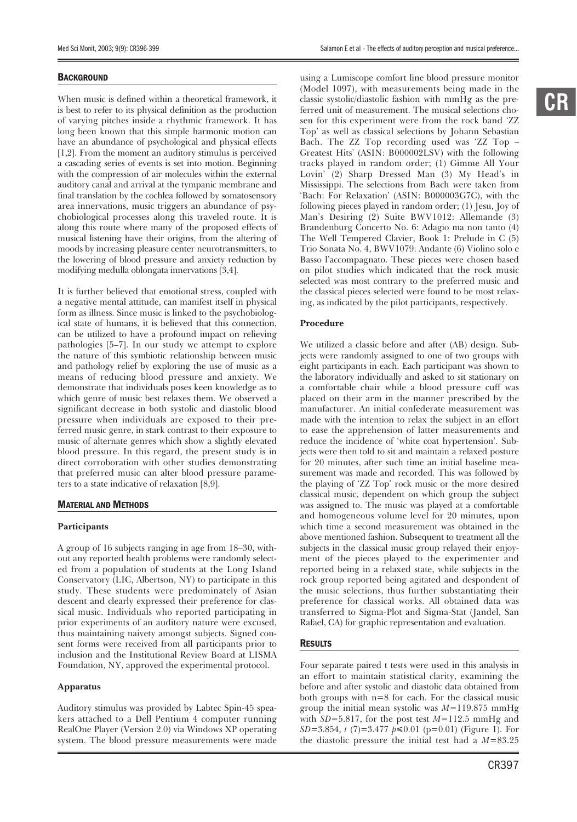#### **BACKGROUND**

When music is defined within a theoretical framework, it is best to refer to its physical definition as the production of varying pitches inside a rhythmic framework. It has long been known that this simple harmonic motion can have an abundance of psychological and physical effects [1,2]. From the moment an auditory stimulus is perceived a cascading series of events is set into motion. Beginning with the compression of air molecules within the external auditory canal and arrival at the tympanic membrane and final translation by the cochlea followed by somatosensory area innervations, music triggers an abundance of psychobiological processes along this traveled route. It is along this route where many of the proposed effects of musical listening have their origins, from the altering of moods by increasing pleasure center neurotransmitters, to the lowering of blood pressure and anxiety reduction by modifying medulla oblongata innervations [3,4].

It is further believed that emotional stress, coupled with a negative mental attitude, can manifest itself in physical form as illness. Since music is linked to the psychobiological state of humans, it is believed that this connection, can be utilized to have a profound impact on relieving pathologies [5–7]. In our study we attempt to explore the nature of this symbiotic relationship between music and pathology relief by exploring the use of music as a means of reducing blood pressure and anxiety. We demonstrate that individuals poses keen knowledge as to which genre of music best relaxes them. We observed a significant decrease in both systolic and diastolic blood pressure when individuals are exposed to their preferred music genre, in stark contrast to their exposure to music of alternate genres which show a slightly elevated blood pressure. In this regard, the present study is in direct corroboration with other studies demonstrating that preferred music can alter blood pressure parameters to a state indicative of relaxation [8,9].

#### MATERIAL AND METHODS

#### **Participants**

A group of 16 subjects ranging in age from 18–30, without any reported health problems were randomly selected from a population of students at the Long Island Conservatory (LIC, Albertson, NY) to participate in this study. These students were predominately of Asian descent and clearly expressed their preference for classical music. Individuals who reported participating in prior experiments of an auditory nature were excused, thus maintaining naivety amongst subjects. Signed consent forms were received from all participants prior to inclusion and the Institutional Review Board at LISMA Foundation, NY, approved the experimental protocol.

#### **Apparatus**

Auditory stimulus was provided by Labtec Spin-45 speakers attached to a Dell Pentium 4 computer running RealOne Player (Version 2.0) via Windows XP operating system. The blood pressure measurements were made

using a Lumiscope comfort line blood pressure monitor (Model 1097), with measurements being made in the classic systolic/diastolic fashion with mmHg as the preferred unit of measurement. The musical selections chosen for this experiment were from the rock band 'ZZ Top' as well as classical selections by Johann Sebastian Bach. The ZZ Top recording used was 'ZZ Top – Greatest Hits' (ASIN: B000002LSV) with the following tracks played in random order; (1) Gimme All Your Lovin' (2) Sharp Dressed Man (3) My Head's in Mississippi. The selections from Bach were taken from 'Bach: For Relaxation' (ASIN: B000003G7C), with the following pieces played in random order; (1) Jesu, Joy of Man's Desiring (2) Suite BWV1012: Allemande (3) Brandenburg Concerto No. 6: Adagio ma non tanto (4) The Well Tempered Clavier, Book 1: Prelude in C (5) Trio Sonata No. 4, BWV1079: Andante (6) Violino solo e Basso l'accompagnato. These pieces were chosen based on pilot studies which indicated that the rock music selected was most contrary to the preferred music and the classical pieces selected were found to be most relaxing, as indicated by the pilot participants, respectively.

#### **Procedure**

We utilized a classic before and after (AB) design. Subjects were randomly assigned to one of two groups with eight participants in each. Each participant was shown to the laboratory individually and asked to sit stationary on a comfortable chair while a blood pressure cuff was placed on their arm in the manner prescribed by the manufacturer. An initial confederate measurement was made with the intention to relax the subject in an effort to ease the apprehension of latter measurements and reduce the incidence of 'white coat hypertension'. Subjects were then told to sit and maintain a relaxed posture for 20 minutes, after such time an initial baseline measurement was made and recorded. This was followed by the playing of 'ZZ Top' rock music or the more desired classical music, dependent on which group the subject was assigned to. The music was played at a comfortable and homogeneous volume level for 20 minutes, upon which time a second measurement was obtained in the above mentioned fashion. Subsequent to treatment all the subjects in the classical music group relayed their enjoyment of the pieces played to the experimenter and reported being in a relaxed state, while subjects in the rock group reported being agitated and despondent of the music selections, thus further substantiating their preference for classical works. All obtained data was transferred to Sigma-Plot and Sigma-Stat (Jandel, San Rafael, CA) for graphic representation and evaluation.

#### **RESULTS**

Four separate paired t tests were used in this analysis in an effort to maintain statistical clarity, examining the before and after systolic and diastolic data obtained from both groups with n=8 for each. For the classical music group the initial mean systolic was *M*=119.875 mmHg with *SD*=5.817, for the post test *M*=112.5 mmHg and *SD*=3.854, *t* (7)=3.477 *p*≤0.01 (p=0.01) (Figure 1). For the diastolic pressure the initial test had a *M*=83.25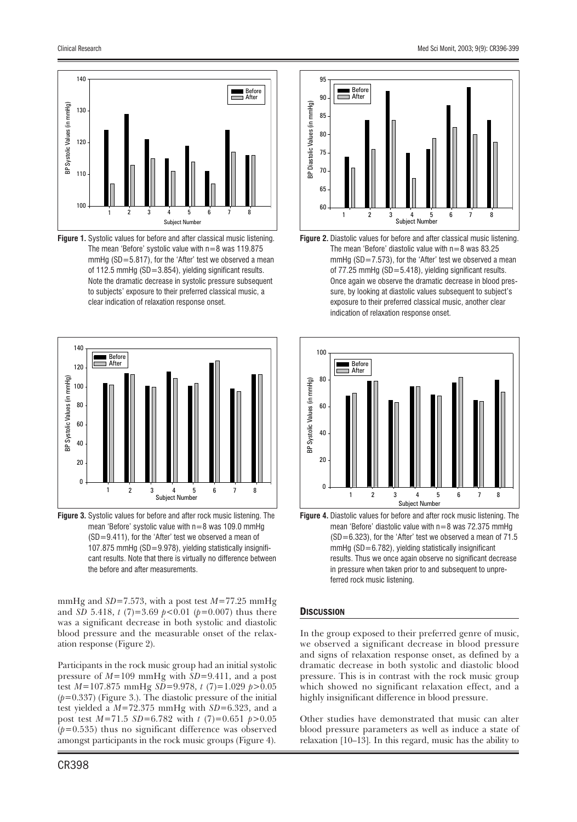

**Figure 1.** Systolic values for before and after classical music listening. The mean 'Before' systolic value with n=8 was 119.875 mmHg (SD=5.817), for the 'After' test we observed a mean of 112.5 mmHg (SD=3.854), yielding significant results. Note the dramatic decrease in systolic pressure subsequent to subjects' exposure to their preferred classical music, a clear indication of relaxation response onset.



**Figure 3.** Systolic values for before and after rock music listening. The mean 'Before' systolic value with n=8 was 109.0 mmHg (SD=9.411), for the 'After' test we observed a mean of 107.875 mmHg (SD=9.978), yielding statistically insignificant results. Note that there is virtually no difference between the before and after measurements.

mmHg and *SD*=7.573, with a post test *M*=77.25 mmHg and *SD* 5.418, *t* (7)=3.69 *p*<0.01 (*p*=0.007) thus there was a significant decrease in both systolic and diastolic blood pressure and the measurable onset of the relaxation response (Figure 2).

Participants in the rock music group had an initial systolic pressure of *M*=109 mmHg with *SD*=9.411, and a post test *M*=107.875 mmHg *SD*=9.978, *t* (7)=1.029 *p*>0.05 (*p*=0.337) (Figure 3.). The diastolic pressure of the initial test yielded a *M*=72.375 mmHg with *SD*=6.323, and a post test *M*=71.5 *SD*=6.782 with *t* (7)=0.651 *p*>0.05  $(p=0.535)$  thus no significant difference was observed amongst participants in the rock music groups (Figure 4).



**Figure 2.** Diastolic values for before and after classical music listening. The mean 'Before' diastolic value with  $n=8$  was 83.25 mmHg (SD=7.573), for the 'After' test we observed a mean of 77.25 mmHg (SD=5.418), yielding significant results. Once again we observe the dramatic decrease in blood pressure, by looking at diastolic values subsequent to subject's exposure to their preferred classical music, another clear indication of relaxation response onset.



**Figure 4.** Diastolic values for before and after rock music listening. The mean 'Before' diastolic value with  $n=8$  was 72.375 mmHg  $(SD=6.323)$ , for the 'After' test we observed a mean of 71.5 mmHg (SD=6.782), yielding statistically insignificant results. Thus we once again observe no significant decrease in pressure when taken prior to and subsequent to unpre-

#### **DISCUSSION**

In the group exposed to their preferred genre of music, we observed a significant decrease in blood pressure and signs of relaxation response onset, as defined by a dramatic decrease in both systolic and diastolic blood pressure. This is in contrast with the rock music group which showed no significant relaxation effect, and a highly insignificant difference in blood pressure.

Other studies have demonstrated that music can alter blood pressure parameters as well as induce a state of relaxation [10–13]. In this regard, music has the ability to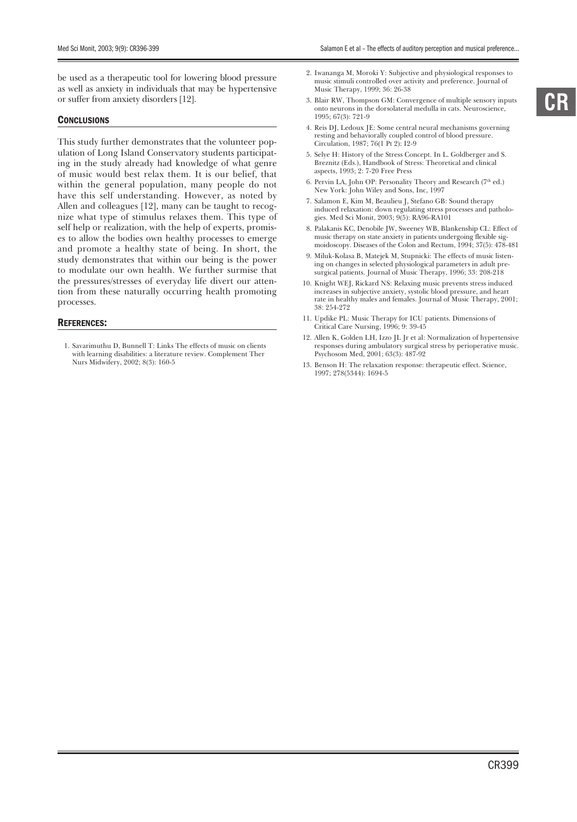be used as a therapeutic tool for lowering blood pressure as well as anxiety in individuals that may be hypertensive or suffer from anxiety disorders [12].

#### **CONCLUSIONS**

This study further demonstrates that the volunteer population of Long Island Conservatory students participating in the study already had knowledge of what genre of music would best relax them. It is our belief, that within the general population, many people do not have this self understanding. However, as noted by Allen and colleagues [12], many can be taught to recognize what type of stimulus relaxes them. This type of self help or realization, with the help of experts, promises to allow the bodies own healthy processes to emerge and promote a healthy state of being. In short, the study demonstrates that within our being is the power to modulate our own health. We further surmise that the pressures/stresses of everyday life divert our attention from these naturally occurring health promoting processes.

#### REFERENCES:

1. Savarimuthu D, Bunnell T: Links The effects of music on clients with learning disabilities: a literature review. Complement Ther Nurs Midwifery, 2002; 8(3): 160-5

- 2. Iwananga M, Moroki Y: Subjective and physiological responses to music stimuli controlled over activity and preference. Journal of Music Therapy, 1999; 36: 26-38
- 3. Blair RW, Thompson GM: Convergence of multiple sensory inputs onto neurons in the dorsolateral medulla in cats. Neuroscience, 1995; 67(3): 721-9
- 4. Reis DJ, Ledoux JE: Some central neural mechanisms governing resting and behaviorally coupled control of blood pressure. Circulation, 1987; 76(1 Pt 2): I2-9
- 5. Selye H: History of the Stress Concept. In L. Goldberger and S. Breznitz (Eds.), Handbook of Stress: Theoretical and clinical aspects, 1993; 2: 7-20 Free Press
- 6. Pervin LA, John OP: Personality Theory and Research (7<sup>th</sup> ed.) New York: John Wiley and Sons, Inc, 1997
- 7. Salamon E, Kim M, Beaulieu J, Stefano GB: Sound therapy induced relaxation: down regulating stress processes and pathologies. Med Sci Monit, 2003; 9(5): RA96-RA101
- 8. Palakanis KC, Denobile JW, Sweeney WB, Blankenship CL: Effect of music therapy on state anxiety in patients undergoing flexible sigmoidoscopy. Diseases of the Colon and Rectum, 1994; 37(5): 478-481
- 9. Miluk-Kolasa B, Matejek M, Stupnicki: The effects of music listening on changes in selected physiological parameters in adult presurgical patients. Journal of Music Therapy, 1996; 33: 208-218
- 10. Knight WEJ, Rickard NS: Relaxing music prevents stress induced increases in subjective anxiety, systolic blood pressure, and heart rate in healthy males and females. Journal of Music Therapy, 2001; 38: 254-272
- 11. Updike PL: Music Therapy for ICU patients. Dimensions of Critical Care Nursing, 1996; 9: 39-45
- 12. Allen K, Golden LH, Izzo JL Jr et al: Normalization of hypertensive responses during ambulatory surgical stress by perioperative music. Psychosom Med, 2001; 63(3): 487-92
- 13. Benson H: The relaxation response: therapeutic effect. Science, 1997; 278(5344): 1694-5